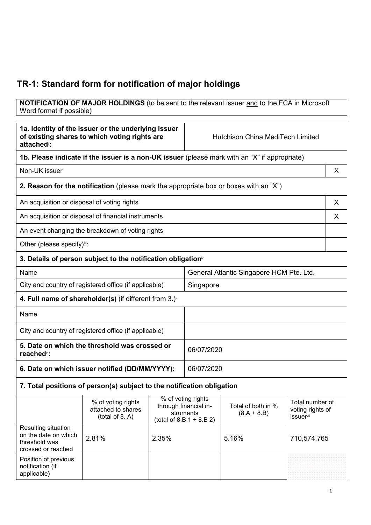# **TR-1: Standard form for notification of major holdings**

#### **NOTIFICATION OF MAJOR HOLDINGS** (to be sent to the relevant issuer <u>and</u> to the FCA in Microsoft Word format if possible) $^{\circ}$

| 1a. Identity of the issuer or the underlying issuer<br>of existing shares to which voting rights are<br>attached <sup>®</sup> : |                                                                                               |                                                                                         | <b>Hutchison China MediTech Limited</b>  |                                     |                                                                     |   |
|---------------------------------------------------------------------------------------------------------------------------------|-----------------------------------------------------------------------------------------------|-----------------------------------------------------------------------------------------|------------------------------------------|-------------------------------------|---------------------------------------------------------------------|---|
|                                                                                                                                 | 1b. Please indicate if the issuer is a non-UK issuer (please mark with an "X" if appropriate) |                                                                                         |                                          |                                     |                                                                     |   |
| Non-UK issuer                                                                                                                   |                                                                                               |                                                                                         |                                          |                                     |                                                                     | X |
|                                                                                                                                 | <b>2. Reason for the notification</b> (please mark the appropriate box or boxes with an "X")  |                                                                                         |                                          |                                     |                                                                     |   |
| An acquisition or disposal of voting rights                                                                                     |                                                                                               |                                                                                         |                                          |                                     |                                                                     | X |
|                                                                                                                                 | An acquisition or disposal of financial instruments                                           |                                                                                         |                                          |                                     |                                                                     | X |
|                                                                                                                                 | An event changing the breakdown of voting rights                                              |                                                                                         |                                          |                                     |                                                                     |   |
| Other (please specify)iii:                                                                                                      |                                                                                               |                                                                                         |                                          |                                     |                                                                     |   |
|                                                                                                                                 | 3. Details of person subject to the notification obligation <sup>®</sup>                      |                                                                                         |                                          |                                     |                                                                     |   |
| Name                                                                                                                            |                                                                                               |                                                                                         | General Atlantic Singapore HCM Pte. Ltd. |                                     |                                                                     |   |
|                                                                                                                                 | City and country of registered office (if applicable)                                         |                                                                                         | Singapore                                |                                     |                                                                     |   |
|                                                                                                                                 | 4. Full name of shareholder(s) (if different from $3.$ ) $\sqrt{ }$                           |                                                                                         |                                          |                                     |                                                                     |   |
| Name                                                                                                                            |                                                                                               |                                                                                         |                                          |                                     |                                                                     |   |
| City and country of registered office (if applicable)                                                                           |                                                                                               |                                                                                         |                                          |                                     |                                                                     |   |
| 5. Date on which the threshold was crossed or<br>reached <sup>vi</sup> :                                                        |                                                                                               |                                                                                         | 06/07/2020                               |                                     |                                                                     |   |
| 6. Date on which issuer notified (DD/MM/YYYY):                                                                                  |                                                                                               |                                                                                         | 06/07/2020                               |                                     |                                                                     |   |
|                                                                                                                                 | 7. Total positions of person(s) subject to the notification obligation                        |                                                                                         |                                          |                                     |                                                                     |   |
|                                                                                                                                 | % of voting rights<br>attached to shares<br>(total of 8. A)                                   | % of voting rights<br>through financial in-<br>struments<br>(total of 8.B $1 + 8.B 2$ ) |                                          | Total of both in %<br>$(8.A + 8.B)$ | Total number of<br>voting rights of<br><i>issuer</i> <sup>vii</sup> |   |
| Resulting situation<br>on the date on which<br>threshold was<br>crossed or reached                                              | 2.81%                                                                                         | 2.35%                                                                                   |                                          | 5.16%                               | 710,574,765                                                         |   |
| Position of previous<br>notification (if<br>applicable)                                                                         |                                                                                               |                                                                                         |                                          |                                     |                                                                     |   |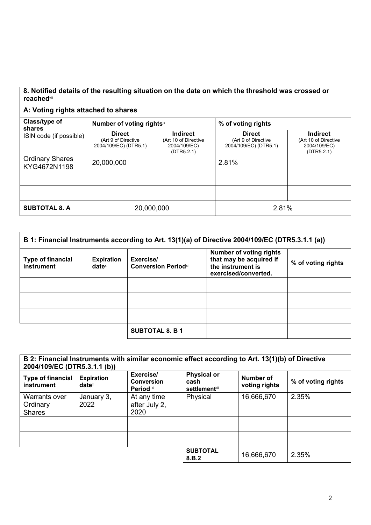## **8. Notified details of the resulting situation on the date on which the threshold was crossed or reached**viii

# **A: Voting rights attached to shares**

| Class/type of<br>shares                | Number of voting rightsix                                     |                                                                | % of voting rights                                            |                                                                       |
|----------------------------------------|---------------------------------------------------------------|----------------------------------------------------------------|---------------------------------------------------------------|-----------------------------------------------------------------------|
| ISIN code (if possible)                | <b>Direct</b><br>(Art 9 of Directive<br>2004/109/EC) (DTR5.1) | Indirect<br>(Art 10 of Directive<br>2004/109/EC)<br>(DTR5.2.1) | <b>Direct</b><br>(Art 9 of Directive<br>2004/109/EC) (DTR5.1) | <b>Indirect</b><br>(Art 10 of Directive<br>2004/109/EC)<br>(DTR5.2.1) |
| <b>Ordinary Shares</b><br>KYG4672N1198 | 20,000,000                                                    |                                                                | 2.81%                                                         |                                                                       |
|                                        |                                                               |                                                                |                                                               |                                                                       |
|                                        |                                                               |                                                                |                                                               |                                                                       |
| <b>SUBTOTAL 8. A</b>                   | 20,000,000                                                    |                                                                | 2.81%                                                         |                                                                       |

| B 1: Financial Instruments according to Art. 13(1)(a) of Directive 2004/109/EC (DTR5.3.1.1 (a)) |                               |                                         |                                                                                                        |                    |
|-------------------------------------------------------------------------------------------------|-------------------------------|-----------------------------------------|--------------------------------------------------------------------------------------------------------|--------------------|
| <b>Type of financial</b><br>instrument                                                          | <b>Expiration</b><br>$date^x$ | Exercise/<br><b>Conversion Periodxi</b> | <b>Number of voting rights</b><br>that may be acquired if<br>the instrument is<br>exercised/converted. | % of voting rights |
|                                                                                                 |                               |                                         |                                                                                                        |                    |
|                                                                                                 |                               |                                         |                                                                                                        |                    |
|                                                                                                 |                               |                                         |                                                                                                        |                    |
|                                                                                                 |                               | <b>SUBTOTAL 8. B 1</b>                  |                                                                                                        |                    |

| B 2: Financial Instruments with similar economic effect according to Art. 13(1)(b) of Directive<br>2004/109/EC (DTR5.3.1.1 (b)) |                                        |                                             |                                                        |                            |                    |
|---------------------------------------------------------------------------------------------------------------------------------|----------------------------------------|---------------------------------------------|--------------------------------------------------------|----------------------------|--------------------|
| <b>Type of financial</b><br>instrument                                                                                          | <b>Expiration</b><br>date <sup>x</sup> | Exercise/<br><b>Conversion</b><br>Period xi | <b>Physical or</b><br>cash<br>settlement <sup>x⊪</sup> | Number of<br>voting rights | % of voting rights |
| Warrants over<br>Ordinary<br><b>Shares</b>                                                                                      | January 3,<br>2022                     | At any time<br>after July 2,<br>2020        | Physical                                               | 16,666,670                 | 2.35%              |
|                                                                                                                                 |                                        |                                             |                                                        |                            |                    |
|                                                                                                                                 |                                        |                                             |                                                        |                            |                    |
|                                                                                                                                 |                                        |                                             | <b>SUBTOTAL</b><br>8.B.2                               | 16,666,670                 | 2.35%              |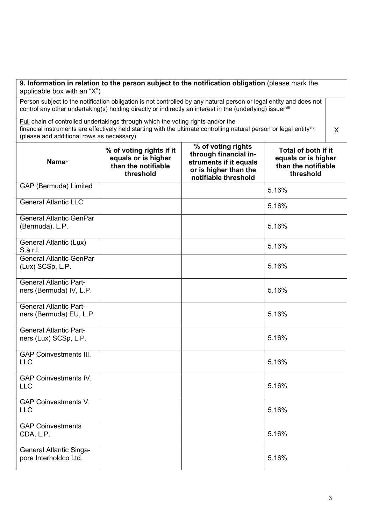| 9. Information in relation to the person subject to the notification obligation (please mark the<br>applicable box with an "X")                                                                                                  |                                                                                                                                                                                                                                                                  |                                                                                                                        |                                                                                |  |
|----------------------------------------------------------------------------------------------------------------------------------------------------------------------------------------------------------------------------------|------------------------------------------------------------------------------------------------------------------------------------------------------------------------------------------------------------------------------------------------------------------|------------------------------------------------------------------------------------------------------------------------|--------------------------------------------------------------------------------|--|
| Person subject to the notification obligation is not controlled by any natural person or legal entity and does not<br>control any other undertaking(s) holding directly or indirectly an interest in the (underlying) issuerxili |                                                                                                                                                                                                                                                                  |                                                                                                                        |                                                                                |  |
|                                                                                                                                                                                                                                  | Full chain of controlled undertakings through which the voting rights and/or the<br>financial instruments are effectively held starting with the ultimate controlling natural person or legal entity <sup>xiv</sup><br>(please add additional rows as necessary) |                                                                                                                        |                                                                                |  |
| <b>Name</b> <sup>w</sup>                                                                                                                                                                                                         | % of voting rights if it<br>equals or is higher<br>than the notifiable<br>threshold                                                                                                                                                                              | % of voting rights<br>through financial in-<br>struments if it equals<br>or is higher than the<br>notifiable threshold | Total of both if it<br>equals or is higher<br>than the notifiable<br>threshold |  |
| GAP (Bermuda) Limited                                                                                                                                                                                                            |                                                                                                                                                                                                                                                                  |                                                                                                                        | 5.16%                                                                          |  |
| General Atlantic LLC                                                                                                                                                                                                             |                                                                                                                                                                                                                                                                  |                                                                                                                        | 5.16%                                                                          |  |
| <b>General Atlantic GenPar</b><br>(Bermuda), L.P.                                                                                                                                                                                |                                                                                                                                                                                                                                                                  |                                                                                                                        | 5.16%                                                                          |  |
| General Atlantic (Lux)<br>S.à r.l.                                                                                                                                                                                               |                                                                                                                                                                                                                                                                  |                                                                                                                        | 5.16%                                                                          |  |
| <b>General Atlantic GenPar</b><br>(Lux) SCSp, L.P.                                                                                                                                                                               |                                                                                                                                                                                                                                                                  |                                                                                                                        | 5.16%                                                                          |  |
| <b>General Atlantic Part-</b><br>ners (Bermuda) IV, L.P.                                                                                                                                                                         |                                                                                                                                                                                                                                                                  |                                                                                                                        | 5.16%                                                                          |  |
| <b>General Atlantic Part-</b><br>ners (Bermuda) EU, L.P.                                                                                                                                                                         |                                                                                                                                                                                                                                                                  |                                                                                                                        | 5.16%                                                                          |  |
| <b>General Atlantic Part-</b><br>ners (Lux) SCSp, L.P.                                                                                                                                                                           |                                                                                                                                                                                                                                                                  |                                                                                                                        | 5.16%                                                                          |  |
| <b>GAP Coinvestments III,</b><br><b>LLC</b>                                                                                                                                                                                      |                                                                                                                                                                                                                                                                  |                                                                                                                        | 5.16%                                                                          |  |
| <b>GAP Coinvestments IV,</b><br><b>LLC</b>                                                                                                                                                                                       |                                                                                                                                                                                                                                                                  |                                                                                                                        | 5.16%                                                                          |  |
| <b>GAP Coinvestments V,</b><br><b>LLC</b>                                                                                                                                                                                        |                                                                                                                                                                                                                                                                  |                                                                                                                        | 5.16%                                                                          |  |
| <b>GAP Coinvestments</b><br>CDA, L.P.                                                                                                                                                                                            |                                                                                                                                                                                                                                                                  |                                                                                                                        | 5.16%                                                                          |  |
| <b>General Atlantic Singa-</b><br>pore Interholdco Ltd.                                                                                                                                                                          |                                                                                                                                                                                                                                                                  |                                                                                                                        | 5.16%                                                                          |  |